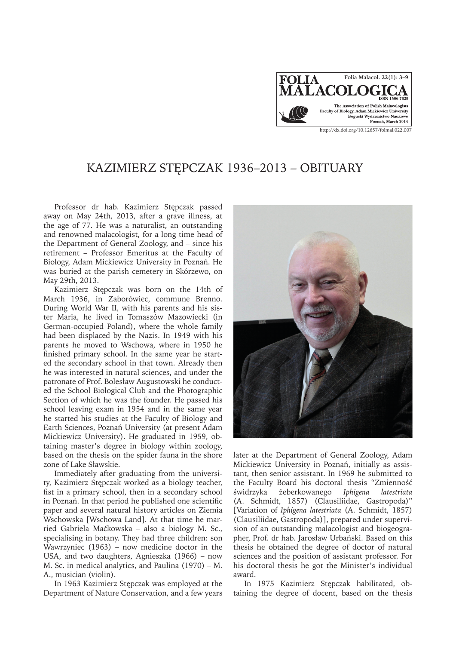

# KAZIMIERZ STĘPCZAK 1936–2013 – OBITUARY

Professor dr hab. Kazimierz Stępczak passed away on May 24th, 2013, after a grave illness, at the age of 77. He was a naturalist, an outstanding and renowned malacologist, for a long time head of the Department of General Zoology, and – since his retirement – Professor Emeritus at the Faculty of Biology, Adam Mickiewicz University in Poznań. He was buried at the parish cemetery in Skórzewo, on May 29th, 2013.

Kazimierz Stępczak was born on the 14th of March 1936, in Zaborówiec, commune Brenno. During World War II, with his parents and his sister Maria, he lived in Tomaszów Mazowiecki (in German-occupied Poland), where the whole family had been displaced by the Nazis. In 1949 with his parents he moved to Wschowa, where in 1950 he finished primary school. In the same year he started the secondary school in that town. Already then he was interested in natural sciences, and under the patronate of Prof. Bolesław Augustowski he conducted the School Biological Club and the Photographic Section of which he was the founder. He passed his school leaving exam in 1954 and in the same year he started his studies at the Faculty of Biology and Earth Sciences, Poznań University (at present Adam Mickiewicz University). He graduated in 1959, obtaining master's degree in biology within zoology, based on the thesis on the spider fauna in the shore zone of Lake Sławskie.

Immediately after graduating from the university, Kazimierz Stępczak worked as a biology teacher, fist in a primary school, then in a secondary school in Poznań. In that period he published one scientific paper and several natural history articles on Ziemia Wschowska [Wschowa Land]. At that time he married Gabriela Maćkowska – also a biology M. Sc., specialising in botany. They had three children: son Wawrzyniec (1963) – now medicine doctor in the USA, and two daughters, Agnieszka (1966) – now M. Sc. in medical analytics, and Paulina (1970) – M. A., musician (violin).

In 1963 Kazimierz Stępczak was employed at the Department of Nature Conservation, and a few years



later at the Department of General Zoology, Adam Mickiewicz University in Poznań, initially as assistant, then senior assistant. In 1969 he submitted to the Faculty Board his doctoral thesis "Zmienność świdrzyka żeberkowanego *Iphigena latestriata* (A. Schmidt, 1857) (Clausiliidae, Gastropoda)" [Variation of *Iphigena latestriata* (A. Schmidt, 1857) (Clausiliidae, Gastropoda)], prepared under supervision of an outstanding malacologist and biogeographer, Prof. dr hab. Jarosław Urbański. Based on this thesis he obtained the degree of doctor of natural sciences and the position of assistant professor. For his doctoral thesis he got the Minister's individual award.

In 1975 Kazimierz Stępczak habilitated, obtaining the degree of docent, based on the thesis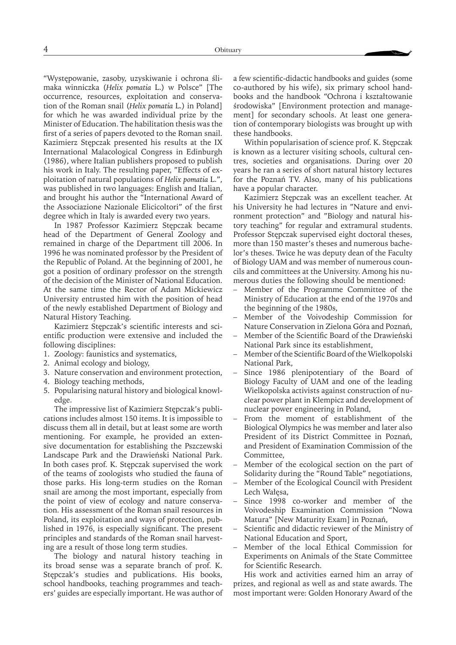"Występowanie, zasoby, uzyskiwanie i ochrona ślimaka winniczka (*Helix pomatia* L.) w Polsce" [The occurrence, resources, exploitation and conservation of the Roman snail (*Helix pomatia* L.) in Poland] for which he was awarded individual prize by the Minister of Education. The habilitation thesis was the first of a series of papers devoted to the Roman snail. Kazimierz Stępczak presented his results at the IX International Malacological Congress in Edinburgh (1986), where Italian publishers proposed to publish his work in Italy. The resulting paper, "Effects of exploitation of natural populations of *Helix pomatia* L.", was published in two languages: English and Italian, and brought his author the "International Award of the Associazione Nazionale Elicicoltori" of the first degree which in Italy is awarded every two years.

In 1987 Professor Kazimierz Stępczak became head of the Department of General Zoology and remained in charge of the Department till 2006. In 1996 he was nominated professor by the President of the Republic of Poland. At the beginning of 2001, he got a position of ordinary professor on the strength of the decision of the Minister of National Education. At the same time the Rector of Adam Mickiewicz University entrusted him with the position of head of the newly established Department of Biology and Natural History Teaching.

Kazimierz Stępczak's scientific interests and scientific production were extensive and included the following disciplines:

- 1. Zoology: faunistics and systematics,
- 2. Animal ecology and biology,
- 3. Nature conservation and environment protection,
- 4. Biology teaching methods,
- 5. Popularising natural history and biological knowledge.

The impressive list of Kazimierz Stępczak's publications includes almost 150 items. It is impossible to discuss them all in detail, but at least some are worth mentioning. For example, he provided an extensive documentation for establishing the Pszczewski Landscape Park and the Drawieński National Park. In both cases prof. K. Stępczak supervised the work of the teams of zoologists who studied the fauna of those parks. His long-term studies on the Roman snail are among the most important, especially from the point of view of ecology and nature conservation. His assessment of the Roman snail resources in Poland, its exploitation and ways of protection, published in 1976, is especially significant. The present principles and standards of the Roman snail harvesting are a result of those long term studies.

The biology and natural history teaching in its broad sense was a separate branch of prof. K. Stępczak's studies and publications. His books, school handbooks, teaching programmes and teachers' guides are especially important. He was author of a few scientific-didactic handbooks and guides (some co-authored by his wife), six primary school handbooks and the handbook "Ochrona i kształtowanie środowiska" [Environment protection and management] for secondary schools. At least one generation of contemporary biologists was brought up with these handbooks.

Within popularisation of science prof. K. Stępczak is known as a lecturer visiting schools, cultural centres, societies and organisations. During over 20 years he ran a series of short natural history lectures for the Poznań TV. Also, many of his publications have a popular character.

Kazimierz Stępczak was an excellent teacher. At his University he had lectures in "Nature and environment protection" and "Biology and natural history teaching" for regular and extramural students. Professor Stępczak supervised eight doctoral theses, more than 150 master's theses and numerous bachelor's theses. Twice he was deputy dean of the Faculty of Biology UAM and was member of numerous councils and committees at the University. Among his numerous duties the following should be mentioned:

- Member of the Programme Committee of the Ministry of Education at the end of the 1970s and the beginning of the 1980s,
- Member of the Voivodeship Commission for Nature Conservation in Zielona Góra and Poznań,
- Member of the Scientific Board of the Drawieński National Park since its establishment,
- Member of the Scientific Board of the Wielkopolski National Park,
- Since 1986 plenipotentiary of the Board of Biology Faculty of UAM and one of the leading Wielkopolska activists against construction of nuclear power plant in Klempicz and development of nuclear power engineering in Poland,
- From the moment of establishment of the Biological Olympics he was member and later also President of its District Committee in Poznań, and President of Examination Commission of the Committee,
- Member of the ecological section on the part of Solidarity during the "Round Table" negotiations,
- Member of the Ecological Council with President Lech Wałęsa,
- Since 1998 co-worker and member of the Voivodeship Examination Commission "Nowa Matura" [New Maturity Exam] in Poznań,
- Scientific and didactic reviewer of the Ministry of National Education and Sport,
- Member of the local Ethical Commission for Experiments on Animals of the State Committee for Scientific Research.

His work and activities earned him an array of prizes, and regional as well as and state awards. The most important were: Golden Honorary Award of the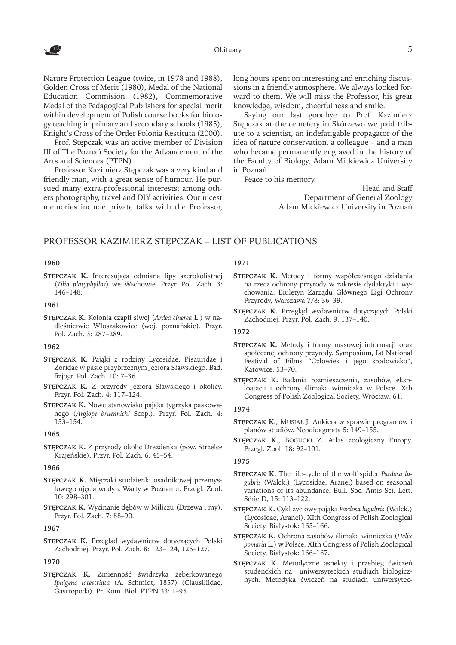Nature Protection League (twice, in 1978 and 1988), Golden Cross of Merit (1980), Medal of the National Education Commision (1982), Commemorative Medal of the Pedagogical Publishers for special merit within development of Polish course books for biology teaching in primary and secondary schools (1985), Knight's Cross of the Order Polonia Restituta (2000).

Prof. Stępczak was an active member of Division III of The Poznań Society for the Advancement of the Arts and Sciences (PTPN).

Professor Kazimierz Stępczak was a very kind and friendly man, with a great sense of humour. He pursued many extra-professional interests: among others photography, travel and DIY activities. Our nicest memories include private talks with the Professor, long hours spent on interesting and enriching discussions in a friendly atmosphere. We always looked forward to them. We will miss the Professor, his great knowledge, wisdom, cheerfulness and smile.

Saying our last goodbye to Prof. Kazimierz Stępczak at the cemetery in Skórzewo we paid tribute to a scientist, an indefatigable propagator of the idea of nature conservation, a colleague – and a man who became permanently engraved in the history of the Faculty of Biology, Adam Mickiewicz University in Poznań.

Peace to his memory.

Head and Staff Department of General Zoology Adam Mickiewicz University in Poznań

# PROFESSOR KAZIMIERZ STĘPCZAK – LIST OF PUBLICATIONS

# **1960**

**Stępczak K.** Interesująca odmiana lipy szerokolistnej (*Tilia platyphyllos*) we Wschowie. Przyr. Pol. Zach. 3: 146–148.

# **1961**

**Stępczak K.** Kolonia czapli siwej (*Ardea cinerea* L.) w nadleśnictwie Włoszakowice (woj. poznańskie). Przyr. Pol. Zach. 3: 287–289.

### **1962**

- **Stępczak K.** Pająki z rodziny Lycosidae, Pisauridae i Zoridae w pasie przybrzeżnym Jeziora Sławskiego. Bad. fizjogr. Pol. Zach. 10: 7–36.
- **Stępczak K.** Z przyrody Jeziora Sławskiego i okolicy. Przyr. Pol. Zach. 4: 117–124.
- **Stępczak K.** Nowe stanowisko pająka tygrzyka paskowanego (*Argiope bruennichi* Scop.). Przyr. Pol. Zach. 4: 153–154.

### **1965**

**Stępczak K.** Z przyrody okolic Drezdenka (pow. Strzelce Krajeńskie). Przyr. Pol. Zach. 6: 45–54.

### **1966**

- **Stępczak K.** Mięczaki studzienki osadnikowej przemysłowego ujęcia wody z Warty w Poznaniu. Przegl. Zool. 10: 298–301.
- **Stępczak K.** Wycinanie dębów w Miliczu (Drzewa i my). Przyr. Pol. Zach. 7: 88–90.

### **1967**

**Stępczak K.** Przegląd wydawnictw dotyczących Polski Zachodniej. Przyr. Pol. Zach. 8: 123–124, 126–127.

### **1970**

**Stępczak K.** Zmienność świdrzyka żeberkowanego *Iphigena latestriata* (A. Schmidt, 1857) (Clausiliidae, Gastropoda). Pr. Kom. Biol. PTPN 33: 1–95.

# **1971**

- **Stępczak K.** Metody i formy współczesnego działania na rzecz ochrony przyrody w zakresie dydaktyki i wychowania. Biuletyn Zarządu Głównego Ligi Ochrony Przyrody, Warszawa 7/8: 36–39.
- **Stępczak K.** Przegląd wydawnictw dotyczących Polski Zachodniej. Przyr. Pol. Zach. 9: 137–140.

# **1972**

- **Stępczak K.** Metody i formy masowej informacji oraz społecznej ochrony przyrody. Symposium, Ist National Festival of Films "Człowiek i jego środowisko", Katowice: 53–70.
- **Stępczak K.** Badania rozmieszczenia, zasobów, eksploatacji i ochrony ślimaka winniczka w Polsce. Xth Congress of Polish Zoological Society, Wrocław: 61.

# **1974**

- **Stępczak K.**, Musiał J. Ankieta w sprawie programów i planów studiów. Neodidagmata 5: 149–155.
- **Stępczak K.**, Bogucki Z. Atlas zoologiczny Europy. Przegl. Zool. 18: 92–101.

### **1975**

- **Stępczak K.** The life-cycle of the wolf spider *Pardosa lugubris* (Walck.) (Lycosidae, Aranei) based on seasonal variations of its abundance. Bull. Soc. Amis Sci. Lett. Série D, 15: 113–122.
- **Stępczak K.** Cykl życiowy pająka *Pardosa lugubris* (Walck.) (Lycosidae, Aranei). XIth Congress of Polish Zoological Society, Białystok: 165–166.
- **Stępczak K.** Ochrona zasobów ślimaka winniczka (*Helix pomatia* L.) w Polsce. XIth Congress of Polish Zoological Society, Białystok: 166–167.
- **Stępczak K.** Metodyczne aspekty i przebieg ćwiczeń studenckich na uniwersyteckich studiach biologicznych. Metodyka ćwiczeń na studiach uniwersytec-

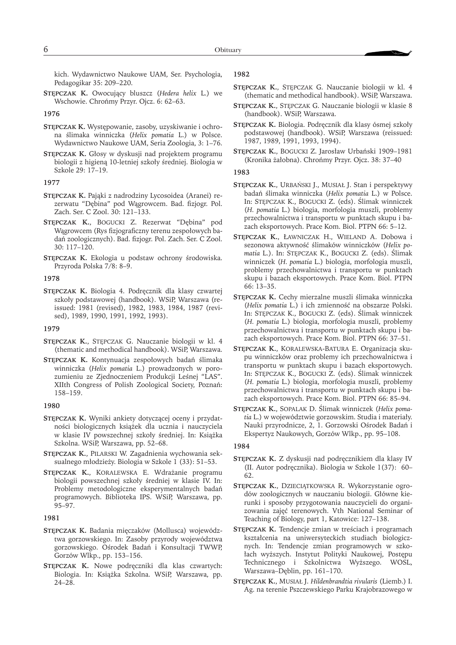kich. Wydawnictwo Naukowe UAM, Ser. Psychologia, Pedagogikar 35: 209–220.

**Stępczak K.** Owocujący bluszcz (*Hedera helix* L.) we Wschowie. Chrońmy Przyr. Ojcz. 6: 62–63.

# **1976**

- **Stępczak K.** Występowanie, zasoby, uzyskiwanie i ochrona ślimaka winniczka (*Helix pomatia* L.) w Polsce. Wydawnictwo Naukowe UAM, Seria Zoologia, 3: 1–76.
- **Stępczak K.** Głosy w dyskusji nad projektem programu biologii z higieną 10-letniej szkoły średniej. Biologia w Szkole 29: 17–19.

### **1977**

- **Stępczak K.** Pająki z nadrodziny Lycosoidea (Aranei) rezerwatu "Dębina" pod Wągrowcem. Bad. fizjogr. Pol. Zach. Ser. C Zool. 30: 121–133.
- **Stępczak K.**, Bogucki Z. Rezerwat "Dębina" pod Wągrowcem (Rys fizjograficzny terenu zespołowych badań zoologicznych). Bad. fizjogr. Pol. Zach. Ser. C Zool. 30: 117–120.
- **Stępczak K.** Ekologia u podstaw ochrony środowiska. Przyroda Polska 7/8: 8–9.

#### **1978**

**Stępczak K.** Biologia 4. Podręcznik dla klasy czwartej szkoły podstawowej (handbook). WSiP, Warszawa (reissued: 1981 (revised), 1982, 1983, 1984, 1987 (revised), 1989, 1990, 1991, 1992, 1993).

### **1979**

- **Stępczak K.**, Stępczak G. Nauczanie biologii w kl. 4 (thematic and methodical handbook). WSiP, Warszawa.
- **Stępczak K.** Kontynuacja zespołowych badań ślimaka winniczka (*Helix pomatia* L.) prowadzonych w porozumieniu ze Zjednoczeniem Produkcji Leśnej "LAS". XIIth Congress of Polish Zoological Society, Poznań: 158–159.

### **1980**

- **Stępczak K.** Wyniki ankiety dotyczącej oceny i przydatności biologicznych książek dla ucznia i nauczyciela w klasie IV powszechnej szkoły średniej. In: Książka Szkolna. WSiP, Warszawa, pp. 52–68.
- **Stępczak K.**, Pilarski W. Zagadnienia wychowania seksualnego młodzieży. Biologia w Szkole 1 (33): 51–53.
- **Stępczak K.**, Koralewska E. Wdrażanie programu biologii powszechnej szkoły średniej w klasie IV. In: Problemy metodologiczne eksperymentalnych badań programowych. Biblioteka IPS. WSiP, Warszawa, pp. 95–97.

# **1981**

- **Stępczak K.** Badania mięczaków (Mollusca) województwa gorzowskiego. In: Zasoby przyrody województwa gorzowskiego. Ośrodek Badań i Konsultacji TWWP, Gorzów Wlkp., pp. 153–156.
- **Stępczak K.** Nowe podręczniki dla klas czwartych: Biologia. In: Książka Szkolna. WSiP, Warszawa, pp. 24–28.

### **1982**

- **Stępczak K.**, Stępczak G. Nauczanie biologii w kl. 4 (thematic and methodical handbook). WSiP, Warszawa.
- **Stępczak K.**, Stępczak G. Nauczanie biologii w klasie 8 (handbook). WSiP, Warszawa.
- **Stępczak K.** Biologia. Podręcznik dla klasy ósmej szkoły podstawowej (handbook). WSiP, Warszawa (reissued: 1987, 1989, 1991, 1993, 1994).
- **Stępczak K.**, Bogucki Z. Jarosław Urbański 1909–1981 (Kronika żałobna). Chrońmy Przyr. Ojcz. 38: 37–40

# **1983**

- **Stępczak K.**, Urbański J., Musiał J. Stan i perspektywy badań ślimaka winniczka (*Helix pomatia* L.) w Polsce. In: Stępczak K., Bogucki Z. (eds). Ślimak winniczek (*H. pomatia* L.) biologia, morfologia muszli, problemy przechowalnictwa i transportu w punktach skupu i bazach eksportowych. Prace Kom. Biol. PTPN 66: 5–12.
- **Stępczak K.**, Ławniczak H., Wieland A. Dobowa i sezonowa aktywność ślimaków winniczków (*Helix pomatia* L.). In: Stępczak K., Bogucki Z. (eds). Ślimak winniczek (*H. pomatia* L.) biologia, morfologia muszli, problemy przechowalnictwa i transportu w punktach skupu i bazach eksportowych. Prace Kom. Biol. PTPN 66: 13–35.
- **Stępczak K.** Cechy mierzalne muszli ślimaka winniczka (*Helix pomatia* L.) i ich zmienność na obszarze Polski. In: Stępczak K., Bogucki Z. (eds). Ślimak winniczek (*H. pomatia* L.) biologia, morfologia muszli, problemy przechowalnictwa i transportu w punktach skupu i bazach eksportowych. Prace Kom. Biol. PTPN 66: 37–51.
- **Stępczak K.**, Koralewska-Batura E. Organizacja skupu winniczków oraz problemy ich przechowalnictwa i transportu w punktach skupu i bazach eksportowych. In: Stępczak K., Bogucki Z. (eds). Ślimak winniczek (*H. pomatia* L.) biologia, morfologia muszli, problemy przechowalnictwa i transportu w punktach skupu i bazach eksportowych. Prace Kom. Biol. PTPN 66: 85–94.
- **Stępczak K.**, Sopalak D. Ślimak winniczek (*Helix pomatia* L.) w województwie gorzowskim. Studia i materiały. Nauki przyrodnicze, 2, 1. Gorzowski Ośrodek Badań i Ekspertyz Naukowych, Gorzów Wlkp., pp. 95–108.

### **1984**

- **Stępczak K.** Z dyskusji nad podręcznikiem dla klasy IV (II. Autor podręcznika). Biologia w Szkole 1(37): 60– 62.
- **Stępczak K.**, Dzieciątkowska R. Wykorzystanie ogrodów zoologicznych w nauczaniu biologii. Główne kierunki i sposoby przygotowania nauczycieli do organizowania zajęć terenowych. Vth National Seminar of Teaching of Biology, part 1, Katowice: 127–138.
- **Stępczak K.** Tendencje zmian w treściach i programach kształcenia na uniwersyteckich studiach biologicznych. In: Tendencje zmian programowych w szkołach wyższych. Instytut Polityki Naukowej, Postępu Technicznego i Szkolnictwa Wyższego. WOSL, Warszawa–Dęblin, pp. 161–170.
- **Stępczak K.**, Musiał J. *Hildenbrandtia rivularis* (Liemb.) I. Ag. na terenie Pszczewskiego Parku Krajobrazowego w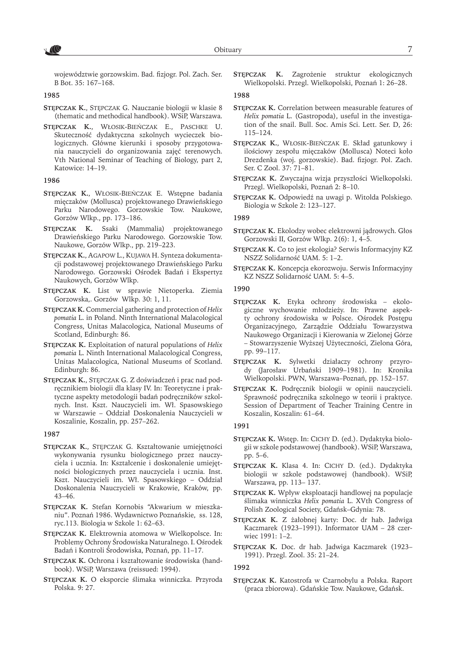7 ( C

województwie gorzowskim. Bad. fizjogr. Pol. Zach. Ser. B Bot. 35: 167–168.

**1985**

- **Stępczak K.**, Stępczak G. Nauczanie biologii w klasie 8 (thematic and methodical handbook). WSiP, Warszawa.
- **Stępczak K.**, Włosik-Bieńczak E., Paschke U. Skuteczność dydaktyczna szkolnych wycieczek biologicznych. Główne kierunki i sposoby przygotowania nauczycieli do organizowania zajęć terenowych. Vth National Seminar of Teaching of Biology, part 2, Katowice: 14–19.

# **1986**

- **Stępczak K.**, Włosik-Bieńczak E. Wstępne badania mięczaków (Mollusca) projektowanego Drawieńskiego Parku Narodowego. Gorzowskie Tow. Naukowe, Gorzów Wlkp., pp. 173–186.
- **Stępczak K.** Ssaki (Mammalia) projektowanego Drawieńskiego Parku Narodowego. Gorzowskie Tow. Naukowe, Gorzów Wlkp., pp. 219–223.
- **Stępczak K.**, Agapow L., Kujawa H. Synteza dokumentacji podstawowej projektowanego Drawieńskiego Parku Narodowego. Gorzowski Ośrodek Badań i Ekspertyz Naukowych, Gorzów Wlkp.
- **Stępczak K.** List w sprawie Nietoperka. Ziemia Gorzowska,. Gorzów Wlkp. 30: 1, 11.
- **Stępczak K.** Commercial gathering and protection of *Helix pomatia* L. in Poland. Ninth International Malacological Congress, Unitas Malacologica, National Museums of Scotland, Edinburgh: 86.
- **Stępczak K.** Exploitation of natural populations of *Helix pomatia* L. Ninth International Malacological Congress, Unitas Malacologica, National Museums of Scotland. Edinburgh: 86.
- **Stępczak K.**, Stępczak G. Z doświadczeń i prac nad podręcznikiem biologii dla klasy IV. In: Teoretyczne i praktyczne aspekty metodologii badań podręczników szkolnych. Inst. Kszt. Nauczycieli im. Wł. Spasowskiego w Warszawie – Oddział Doskonalenia Nauczycieli w Koszalinie, Koszalin, pp. 257–262.

### **1987**

- **Stępczak K.**, Stępczak G. Kształtowanie umiejętności wykonywania rysunku biologicznego przez nauczyciela i ucznia. In: Kształcenie i doskonalenie umiejętności biologicznych przez nauczyciela i ucznia. Inst. Kszt. Nauczycieli im. Wł. Spasowskiego – Oddział Doskonalenia Nauczycieli w Krakowie, Kraków, pp. 43–46.
- **Stępczak K.** Stefan Kornobis "Akwarium w mieszkaniu". Poznań 1986. Wydawnictwo Poznańskie, ss. 128, ryc.113. Biologia w Szkole 1: 62–63.
- **Stępczak K.** Elektrownia atomowa w Wielkopolsce. In: Problemy Ochrony Środowiska Naturalnego. I. Ośrodek Badań i Kontroli Środowiska, Poznań, pp. 11–17.
- **Stępczak K.** Ochrona i kształtowanie środowiska (handbook). WSiP, Warszawa (reissued: 1994).
- **Stępczak K.** O eksporcie ślimaka winniczka. Przyroda Polska. 9: 27.

**Stępczak K.** Zagrożenie struktur ekologicznych Wielkopolski. Przegl. Wielkopolski, Poznań 1: 26–28.

# **1988**

- **Stępczak K.** Correlation between measurable features of *Helix pomatia* L. (Gastropoda), useful in the investigation of the snail. Bull. Soc. Amis Sci. Lett. Ser. D, 26: 115–124.
- **Stępczak K.**, Włosik-Bieńczak E. Skład gatunkowy i ilościowy zespołu mięczaków (Mollusca) Noteci koło Drezdenka (woj. gorzowskie). Bad. fizjogr. Pol. Zach. Ser. C Zool. 37: 71–81.
- **Stępczak K.** Zwyczajna wizja przyszłości Wielkopolski. Przegl. Wielkopolski, Poznań 2: 8–10.
- **Stępczak K.** Odpowiedź na uwagi p. Witolda Polskiego. Biologia w Szkole 2: 123–127.

### **1989**

- **Stępczak K.** Ekolodzy wobec elektrowni jądrowych. Głos Gorzowski II, Gorzów Wlkp. 2(6): 1, 4–5.
- **Stępczak K.** Co to jest ekologia? Serwis Informacyjny KZ NSZZ Solidarność UAM. 5: 1–2.
- **Stępczak K.** Koncepcja ekorozwoju. Serwis Informacyjny KZ NSZZ Solidarność UAM. 5: 4–5.

### **1990**

- **Stępczak K.** Etyka ochrony środowiska ekologiczne wychowanie młodzieży. In: Prawne aspekty ochrony środowiska w Polsce. Ośrodek Postępu Organizacyjnego, Zarządzie Oddziału Towarzystwa Naukowego Organizacji i Kierowania w Zielonej Górze – Stowarzyszenie Wyższej Użyteczności, Zielona Góra, pp. 99–117.
- **Stępczak K.** Sylwetki działaczy ochrony przyrody (Jarosław Urbański 1909–1981). In: Kronika Wielkopolski. PWN, Warszawa–Poznań, pp. 152–157.
- **Stępczak K.** Podręcznik biologii w opinii nauczycieli. Sprawność podręcznika szkolnego w teorii i praktyce. Session of Department of Teacher Training Centre in Koszalin, Koszalin: 61–64.

### **1991**

- **Stępczak K.** Wstęp. In: Cichy D. (ed.). Dydaktyka biologii w szkole podstawowej (handbook). WSiP, Warszawa, pp. 5–6.
- **Stępczak K.** Klasa 4. In: Cichy D. (ed.). Dydaktyka biologii w szkole podstawowej (handbook). WSiP, Warszawa, pp. 113– 137.
- **Stępczak K.** Wpływ eksploatacji handlowej na populacje ślimaka winniczka *Helix pomatia* L. XVth Congress of Polish Zoological Society, Gdańsk–Gdynia: 78.
- **Stępczak K.** Z żałobnej karty: Doc. dr hab. Jadwiga Kaczmarek (1923–1991). Informator UAM – 28 czerwiec 1991: 1–2.
- **Stępczak K.** Doc. dr hab. Jadwiga Kaczmarek (1923– 1991). Przegl. Zool. 35: 21–24.

### **1992**

**Stępczak K.** Katostrofa w Czarnobylu a Polska. Raport (praca zbiorowa). Gdańskie Tow. Naukowe, Gdańsk.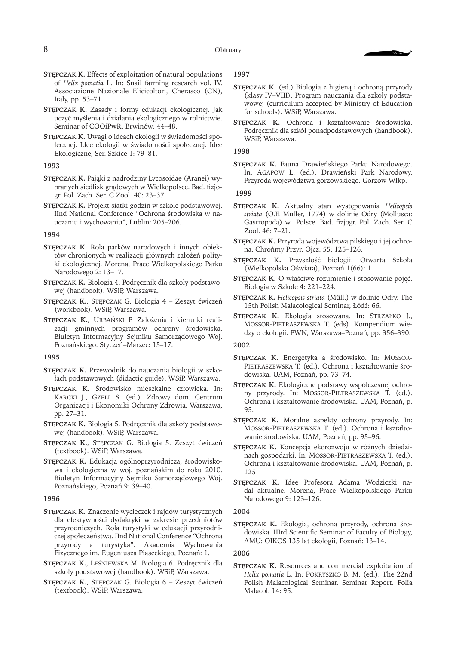- **Stępczak K.** Effects of exploitation of natural populations of *Helix pomatia* L. In: Snail farming research vol. IV. Associazione Nazionale Elicicoltori, Cherasco (CN), Italy, pp. 53–71.
- **Stępczak K.** Zasady i formy edukacji ekologicznej. Jak uczyć myślenia i działania ekologicznego w rolnictwie. Seminar of COOiPwR, Brwinów: 44–48.
- **Stępczak K.** Uwagi o ideach ekologii w świadomości społecznej. Idee ekologii w świadomości społecznej. Idee Ekologiczne, Ser. Szkice 1: 79–81.

### **1993**

- **Stępczak K.** Pająki z nadrodziny Lycosoidae (Aranei) wybranych siedlisk grądowych w Wielkopolsce. Bad. fizjogr. Pol. Zach. Ser. C Zool. 40: 23–37.
- **Stępczak K.** Projekt siatki godzin w szkole podstawowej. IInd National Conference "Ochrona środowiska w nauczaniu i wychowaniu", Lublin: 205–206.

### **1994**

- **Stępczak K.** Rola parków narodowych i innych obiektów chronionych w realizacji głównych założeń polityki ekologicznej. Morena, Prace Wielkopolskiego Parku Narodowego 2: 13–17.
- **Stępczak K.** Biologia 4. Podręcznik dla szkoły podstawowej (handbook). WSiP, Warszawa.
- **Stępczak K.**, Stępczak G. Biologia 4 Zeszyt ćwiczeń (workbook). WSiP, Warszawa.
- **Stępczak K.**, Urbański P. Założenia i kierunki realizacji gminnych programów ochrony środowiska. Biuletyn Informacyjny Sejmiku Samorządowego Woj. Poznańskiego. Styczeń–Marzec: 15–17.

# **1995**

- **Stępczak K.** Przewodnik do nauczania biologii w szkołach podstawowych (didactic guide). WSiP, Warszawa.
- **Stępczak K.** Środowisko mieszkalne człowieka. In: KARCKI J., GZELL S. (ed.). Zdrowy dom. Centrum Organizacji i Ekonomiki Ochrony Zdrowia, Warszawa, pp. 27–31.
- **Stępczak K.** Biologia 5. Podręcznik dla szkoły podstawowej (handbook). WSiP, Warszawa.
- **Stępczak K.**, Stępczak G. Biologia 5. Zeszyt ćwiczeń (textbook). WSiP, Warszawa.
- **Stępczak K.** Edukacja ogólnoprzyrodnicza, środowiskowa i ekologiczna w woj. poznańskim do roku 2010. Biuletyn Informacyjny Sejmiku Samorządowego Woj. Poznańskiego, Poznań 9: 39–40.

### **1996**

- **Stępczak K.** Znaczenie wycieczek i rajdów turystycznych dla efektywności dydaktyki w zakresie przedmiotów przyrodniczych. Rola turystyki w edukacji przyrodniczej społeczeństwa. IInd National Conference "Ochrona przyrody a turystyka". Akademia Wychowania Fizycznego im. Eugeniusza Piaseckiego, Poznań: 1.
- **Stępczak K.**, Leśniewska M. Biologia 6. Podręcznik dla szkoły podstawowej (handbook). WSiP, Warszawa.
- **Stępczak K.**, Stępczak G. Biologia 6 Zeszyt ćwiczeń (textbook). WSiP, Warszawa.

# **1997**

- **Stępczak K.** (ed.) Biologia z higieną i ochroną przyrody (klasy IV–VIII). Program nauczania dla szkoły podstawowej (curriculum accepted by Ministry of Education for schools). WSiP, Warszawa.
- **Stępczak K.** Ochrona i kształtowanie środowiska. Podręcznik dla szkół ponadpodstawowych (handbook). WSiP, Warszawa.

# **1998**

**Stępczak K.** Fauna Drawieńskiego Parku Narodowego. In: Agapow L. (ed.). Drawieński Park Narodowy. Przyroda województwa gorzowskiego. Gorzów Wlkp.

### **1999**

- **Stępczak K.** Aktualny stan występowania *Helicopsis striata* (O.F. Müller, 1774) w dolinie Odry (Mollusca: Gastropoda) w Polsce. Bad. fizjogr. Pol. Zach. Ser. C Zool. 46: 7–21.
- **Stępczak K.** Przyroda województwa pilskiego i jej ochrona. Chrońmy Przyr. Ojcz. 55: 125–126.
- **Stępczak K.** Przyszłość biologii. Otwarta Szkoła (Wielkopolska Oświata), Poznań 1(66): 1.
- **Stępczak K.** O właściwe rozumienie i stosowanie pojęć. Biologia w Szkole 4: 221–224.
- **Stępczak K.** *Helicopsis striata* (Müll.) w dolinie Odry. The 15th Polish Malacological Seminar, Łódź: 66.
- **Stępczak K.** Ekologia stosowana. In: Strzałko J., Mossor-Pietraszewska T. (eds). Kompendium wiedzy o ekologii. PWN, Warszawa–Poznań, pp. 356–390.

### **2002**

- **Stępczak K.** Energetyka a środowisko. In: Mossor-PIETRASZEWSKA T. (ed.). Ochrona i kształtowanie środowiska. UAM, Poznań, pp. 73–74.
- **Stępczak K.** Ekologiczne podstawy współczesnej ochrony przyrody. In: Mossor-Pietraszewska T. (ed.). Ochrona i kształtowanie środowiska. UAM, Poznań, p. 95.
- **Stępczak K.** Moralne aspekty ochrony przyrody. In: Mossor-Pietraszewska T. (ed.). Ochrona i kształtowanie środowiska. UAM, Poznań, pp. 95–96.
- **Stępczak K.** Koncepcja ekorozwoju w różnych dziedzinach gospodarki. In: MOSSOR-PIETRASZEWSKA T. (ed.). Ochrona i kształtowanie środowiska. UAM, Poznań, p. 125
- **Stępczak K.** Idee Profesora Adama Wodziczki nadal aktualne. Morena, Prace Wielkopolskiego Parku Narodowego 9: 123–126.

### **2004**

**Stępczak K.** Ekologia, ochrona przyrody, ochrona środowiska. IIIrd Scientific Seminar of Faculty of Biology, AMU: OIKOS 135 lat ekologii, Poznań: 13–14.

### **2006**

**Stępczak K.** Resources and commercial exploitation of *Helix pomatia* L. In: Pokryszko B. M. (ed.). The 22nd Polish Malacological Seminar. Seminar Report. Folia Malacol. 14: 95.